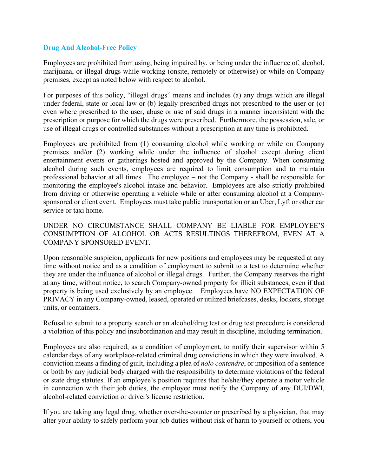## **Drug And Alcohol-Free Policy**

Employees are prohibited from using, being impaired by, or being under the influence of, alcohol, marijuana, or illegal drugs while working (onsite, remotely or otherwise) or while on Company premises, except as noted below with respect to alcohol.

For purposes of this policy, "illegal drugs" means and includes (a) any drugs which are illegal under federal, state or local law or (b) legally prescribed drugs not prescribed to the user or (c) even where prescribed to the user, abuse or use of said drugs in a manner inconsistent with the prescription or purpose for which the drugs were prescribed. Furthermore, the possession, sale, or use of illegal drugs or controlled substances without a prescription at any time is prohibited.

Employees are prohibited from (1) consuming alcohol while working or while on Company premises and/or (2) working while under the influence of alcohol except during client entertainment events or gatherings hosted and approved by the Company. When consuming alcohol during such events, employees are required to limit consumption and to maintain professional behavior at all times. The employee – not the Company - shall be responsible for monitoring the employee's alcohol intake and behavior. Employees are also strictly prohibited from driving or otherwise operating a vehicle while or after consuming alcohol at a Companysponsored or client event. Employees must take public transportation or an Uber, Lyft or other car service or taxi home.

UNDER NO CIRCUMSTANCE SHALL COMPANY BE LIABLE FOR EMPLOYEE'S CONSUMPTION OF ALCOHOL OR ACTS RESULTINGS THEREFROM, EVEN AT A COMPANY SPONSORED EVENT.

Upon reasonable suspicion, applicants for new positions and employees may be requested at any time without notice and as a condition of employment to submit to a test to determine whether they are under the influence of alcohol or illegal drugs. Further, the Company reserves the right at any time, without notice, to search Company-owned property for illicit substances, even if that property is being used exclusively by an employee. Employees have NO EXPECTATION OF PRIVACY in any Company-owned, leased, operated or utilized briefcases, desks, lockers, storage units, or containers.

Refusal to submit to a property search or an alcohol/drug test or drug test procedure is considered a violation of this policy and insubordination and may result in discipline, including termination.

Employees are also required, as a condition of employment, to notify their supervisor within 5 calendar days of any workplace-related criminal drug convictions in which they were involved. A conviction means a finding of guilt, including a plea of *nolo contendre*, or imposition of a sentence or both by any judicial body charged with the responsibility to determine violations of the federal or state drug statutes. If an employee's position requires that he/she/they operate a motor vehicle in connection with their job duties, the employee must notify the Company of any DUI/DWI, alcohol-related conviction or driver's license restriction.

If you are taking any legal drug, whether over-the-counter or prescribed by a physician, that may alter your ability to safely perform your job duties without risk of harm to yourself or others, you